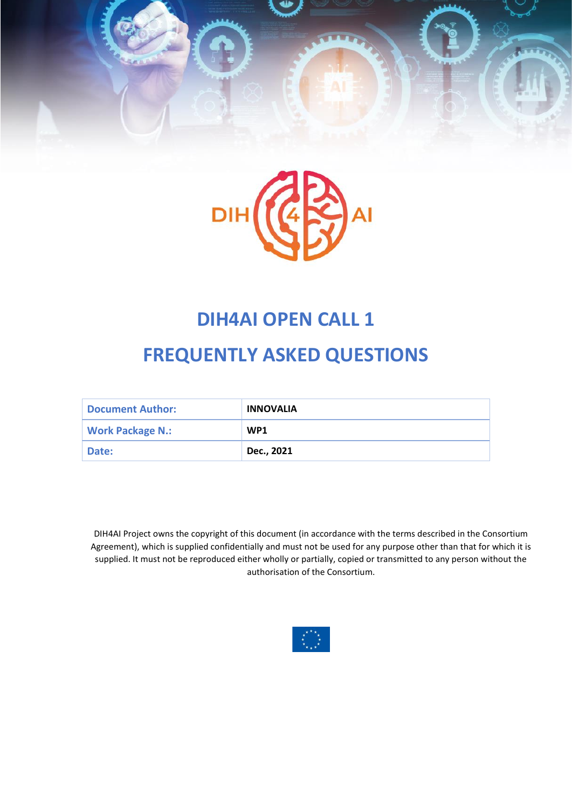



# **DIH4AI OPEN CALL 1**

# **FREQUENTLY ASKED QUESTIONS**

| <b>Document Author:</b> | <b>INNOVALIA</b> |
|-------------------------|------------------|
| <b>Work Package N.:</b> | WP <sub>1</sub>  |
| Date:                   | Dec., 2021       |

DIH4AI Project owns the copyright of this document (in accordance with the terms described in the Consortium Agreement), which is supplied confidentially and must not be used for any purpose other than that for which it is supplied. It must not be reproduced either wholly or partially, copied or transmitted to any person without the authorisation of the Consortium.

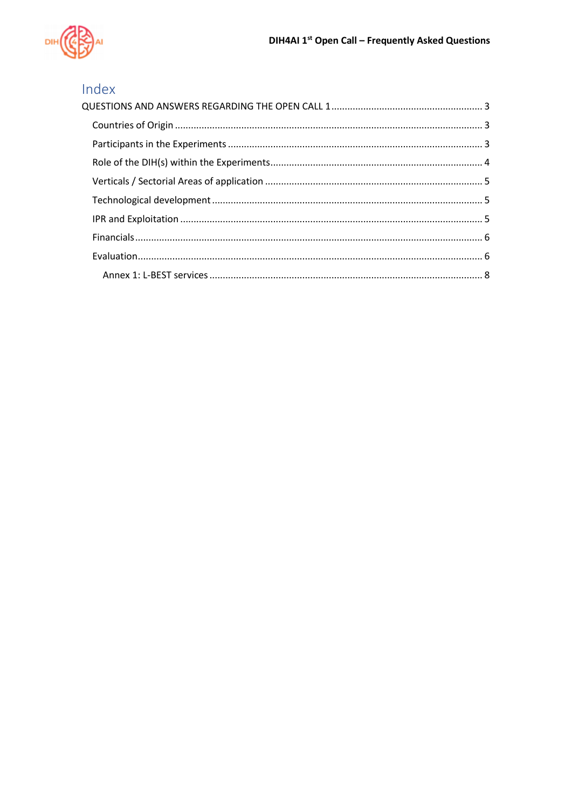

# Index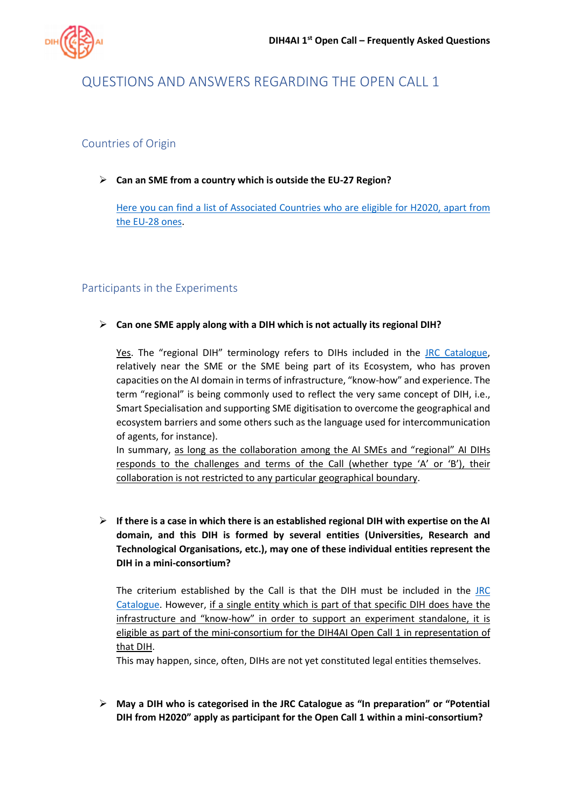

# <span id="page-2-0"></span>QUESTIONS AND ANSWERS REGARDING THE OPEN CALL 1

# <span id="page-2-1"></span>Countries of Origin

#### ➢ **Can an SME from a country which is outside the EU-27 Region?**

[Here you can find a list of Associated Countries who are eligible](https://ec.europa.eu/info/research-and-innovation/strategy/strategy-2020-2024/europe-world/international-cooperation_en#countries-and-regions) for H2020, apart from [the EU-28 ones.](https://ec.europa.eu/info/research-and-innovation/strategy/strategy-2020-2024/europe-world/international-cooperation_en#countries-and-regions)

# <span id="page-2-2"></span>Participants in the Experiments

#### ➢ **Can one SME apply along with a DIH which is not actually its regional DIH?**

Yes. The "regional DIH" terminology refers to DIHs included in the [JRC Catalogue,](https://s3platform.jrc.ec.europa.eu/digital-innovation-hubs-tool) relatively near the SME or the SME being part of its Ecosystem, who has proven capacities on the AI domain in terms of infrastructure, "know-how" and experience. The term "regional" is being commonly used to reflect the very same concept of DIH, i.e., Smart Specialisation and supporting SME digitisation to overcome the geographical and ecosystem barriers and some others such as the language used for intercommunication of agents, for instance).

In summary, as long as the collaboration among the AI SMEs and "regional" AI DIHs responds to the challenges and terms of the Call (whether type 'A' or 'B'), their collaboration is not restricted to any particular geographical boundary.

➢ **If there is a case in which there is an established regional DIH with expertise on the AI domain, and this DIH is formed by several entities (Universities, Research and Technological Organisations, etc.), may one of these individual entities represent the DIH in a mini-consortium?** 

The criterium established by the Call is that the DIH must be included in the [JRC](https://s3platform.jrc.ec.europa.eu/digital-innovation-hubs-tool)  [Catalogue.](https://s3platform.jrc.ec.europa.eu/digital-innovation-hubs-tool) However, if a single entity which is part of that specific DIH does have the infrastructure and "know-how" in order to support an experiment standalone, it is eligible as part of the mini-consortium for the DIH4AI Open Call 1 in representation of that DIH.

This may happen, since, often, DIHs are not yet constituted legal entities themselves.

➢ **May a DIH who is categorised in the JRC Catalogue as "In preparation" or "Potential DIH from H2020" apply as participant for the Open Call 1 within a mini-consortium?**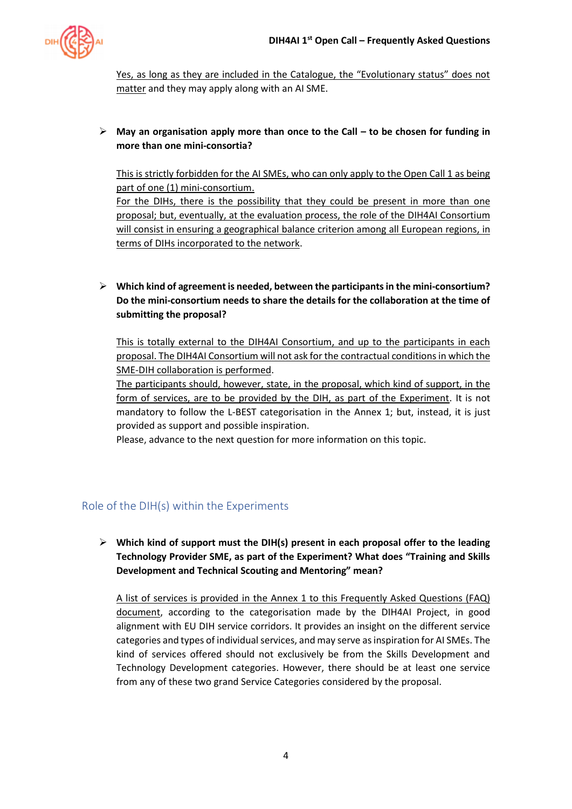

Yes, as long as they are included in the Catalogue, the "Evolutionary status" does not matter and they may apply along with an AI SME.

#### ➢ **May an organisation apply more than once to the Call – to be chosen for funding in more than one mini-consortia?**

This is strictly forbidden for the AI SMEs, who can only apply to the Open Call 1 as being part of one (1) mini-consortium.

For the DIHs, there is the possibility that they could be present in more than one proposal; but, eventually, at the evaluation process, the role of the DIH4AI Consortium will consist in ensuring a geographical balance criterion among all European regions, in terms of DIHs incorporated to the network.

# ➢ **Which kind of agreement is needed, between the participants in the mini-consortium? Do the mini-consortium needs to share the details for the collaboration at the time of submitting the proposal?**

This is totally external to the DIH4AI Consortium, and up to the participants in each proposal. The DIH4AI Consortium will not ask for the contractual conditions in which the SME-DIH collaboration is performed.

The participants should, however, state, in the proposal, which kind of support, in the form of services, are to be provided by the DIH, as part of the Experiment. It is not mandatory to follow the L-BEST categorisation in the [Annex 1;](#page-7-0) but, instead, it is just provided as support and possible inspiration.

Please, advance to the next question for more information on this topic.

# <span id="page-3-0"></span>Role of the DIH(s) within the Experiments

# ➢ **Which kind of support must the DIH(s) present in each proposal offer to the leading Technology Provider SME, as part of the Experiment? What does "Training and Skills Development and Technical Scouting and Mentoring" mean?**

A list of services is provided in the [Annex 1](#page-7-0) to this Frequently Asked Questions (FAQ) document, according to the categorisation made by the DIH4AI Project, in good alignment with EU DIH service corridors. It provides an insight on the different service categories and types of individual services, and may serve as inspiration for AI SMEs. The kind of services offered should not exclusively be from the Skills Development and Technology Development categories. However, there should be at least one service from any of these two grand Service Categories considered by the proposal.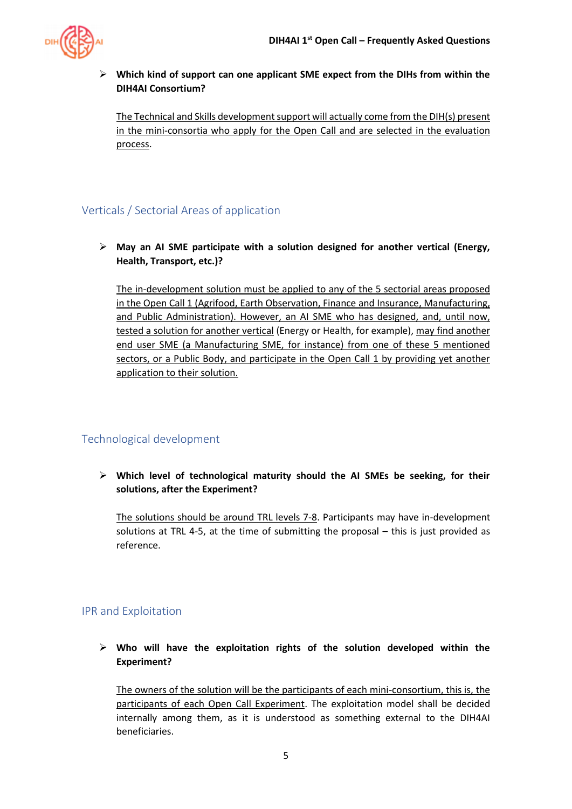

➢ **Which kind of support can one applicant SME expect from the DIHs from within the DIH4AI Consortium?** 

The Technical and Skills development support will actually come from the DIH(s) present in the mini-consortia who apply for the Open Call and are selected in the evaluation process.

# <span id="page-4-0"></span>Verticals / Sectorial Areas of application

➢ **May an AI SME participate with a solution designed for another vertical (Energy, Health, Transport, etc.)?** 

The in-development solution must be applied to any of the 5 sectorial areas proposed in the Open Call 1 (Agrifood, Earth Observation, Finance and Insurance, Manufacturing, and Public Administration). However, an AI SME who has designed, and, until now, tested a solution for another vertical (Energy or Health, for example), may find another end user SME (a Manufacturing SME, for instance) from one of these 5 mentioned sectors, or a Public Body, and participate in the Open Call 1 by providing yet another application to their solution.

# <span id="page-4-1"></span>Technological development

➢ **Which level of technological maturity should the AI SMEs be seeking, for their solutions, after the Experiment?** 

The solutions should be around TRL levels 7-8. Participants may have in-development solutions at TRL 4-5, at the time of submitting the proposal – this is just provided as reference.

# <span id="page-4-2"></span>IPR and Exploitation

➢ **Who will have the exploitation rights of the solution developed within the Experiment?** 

The owners of the solution will be the participants of each mini-consortium, this is, the participants of each Open Call Experiment. The exploitation model shall be decided internally among them, as it is understood as something external to the DIH4AI beneficiaries.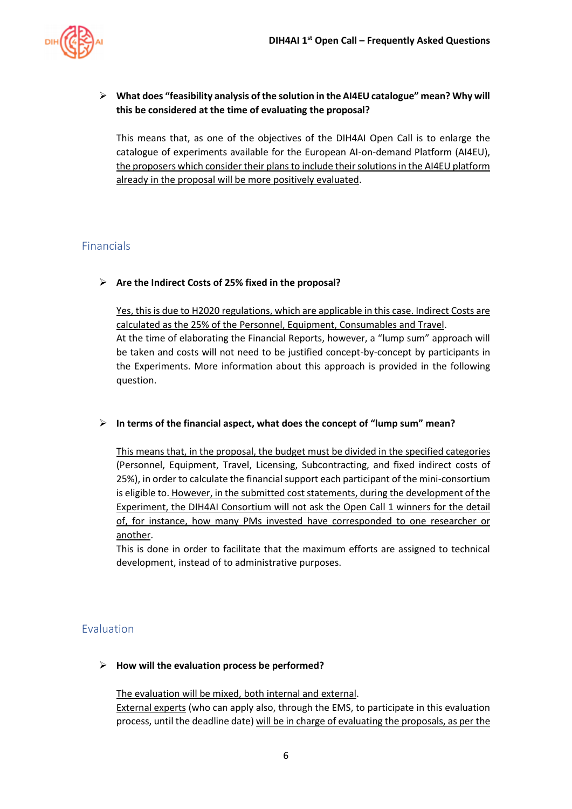

➢ **What does "feasibility analysis of the solution in the AI4EU catalogue" mean? Why will this be considered at the time of evaluating the proposal?** 

This means that, as one of the objectives of the DIH4AI Open Call is to enlarge the catalogue of experiments available for the European AI-on-demand Platform (AI4EU), the proposers which consider their plans to include their solutions in the AI4EU platform already in the proposal will be more positively evaluated.

#### <span id="page-5-0"></span>Financials

#### ➢ **Are the Indirect Costs of 25% fixed in the proposal?**

Yes, this is due to H2020 regulations, which are applicable in this case. Indirect Costs are calculated as the 25% of the Personnel, Equipment, Consumables and Travel. At the time of elaborating the Financial Reports, however, a "lump sum" approach will be taken and costs will not need to be justified concept-by-concept by participants in the Experiments. More information about this approach is provided in the following question.

#### ➢ **In terms of the financial aspect, what does the concept of "lump sum" mean?**

This means that, in the proposal, the budget must be divided in the specified categories (Personnel, Equipment, Travel, Licensing, Subcontracting, and fixed indirect costs of 25%), in order to calculate the financial support each participant of the mini-consortium is eligible to. However, in the submitted cost statements, during the development of the Experiment, the DIH4AI Consortium will not ask the Open Call 1 winners for the detail of, for instance, how many PMs invested have corresponded to one researcher or another.

This is done in order to facilitate that the maximum efforts are assigned to technical development, instead of to administrative purposes.

#### <span id="page-5-1"></span>Evaluation

#### ➢ **How will the evaluation process be performed?**

The evaluation will be mixed, both internal and external.

External experts (who can apply also, through the EMS, to participate in this evaluation process, until the deadline date) will be in charge of evaluating the proposals, as per the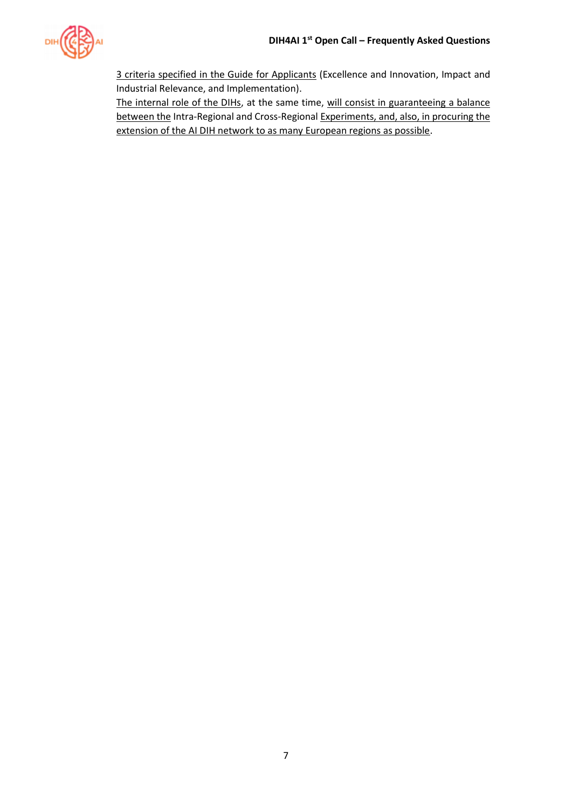

3 criteria specified in the Guide for Applicants (Excellence and Innovation, Impact and Industrial Relevance, and Implementation).

The internal role of the DIHs, at the same time, will consist in guaranteeing a balance between the Intra-Regional and Cross-Regional Experiments, and, also, in procuring the extension of the AI DIH network to as many European regions as possible.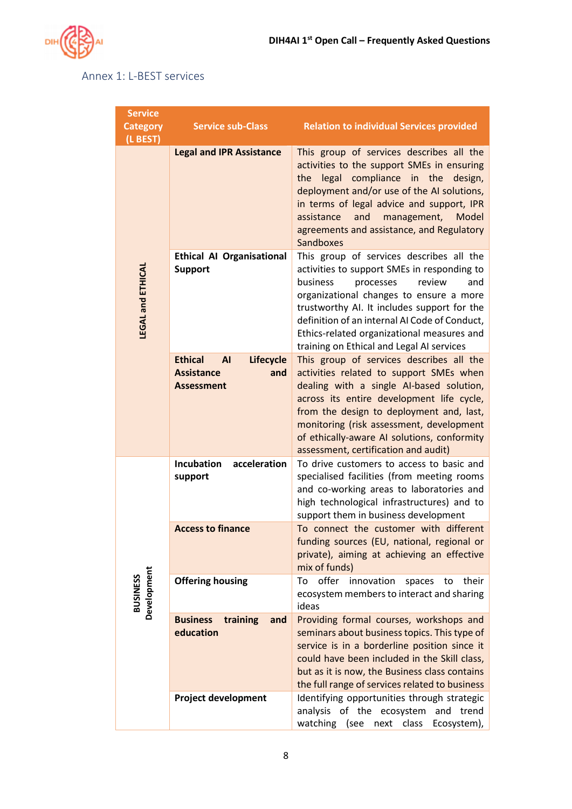

# <span id="page-7-0"></span>Annex 1: L-BEST services

| <b>Service</b><br><b>Category</b><br>(L BEST) | <b>Service sub-Class</b>                                                                         | <b>Relation to individual Services provided</b>                                                                                                                                                                                                                                                                                                                         |
|-----------------------------------------------|--------------------------------------------------------------------------------------------------|-------------------------------------------------------------------------------------------------------------------------------------------------------------------------------------------------------------------------------------------------------------------------------------------------------------------------------------------------------------------------|
| <b>LEGAL and ETHICAL</b>                      | <b>Legal and IPR Assistance</b>                                                                  | This group of services describes all the<br>activities to the support SMEs in ensuring<br>legal compliance in the<br>design,<br>the<br>deployment and/or use of the AI solutions,<br>in terms of legal advice and support, IPR<br>assistance<br>and<br>management,<br>Model<br>agreements and assistance, and Regulatory<br><b>Sandboxes</b>                            |
|                                               | <b>Ethical AI Organisational</b><br><b>Support</b>                                               | This group of services describes all the<br>activities to support SMEs in responding to<br>business<br>review<br>and<br>processes<br>organizational changes to ensure a more<br>trustworthy AI. It includes support for the<br>definition of an internal AI Code of Conduct,<br>Ethics-related organizational measures and<br>training on Ethical and Legal AI services |
|                                               | <b>Ethical</b><br><b>AI</b><br><b>Lifecycle</b><br><b>Assistance</b><br>and<br><b>Assessment</b> | This group of services describes all the<br>activities related to support SMEs when<br>dealing with a single AI-based solution,<br>across its entire development life cycle,<br>from the design to deployment and, last,<br>monitoring (risk assessment, development<br>of ethically-aware AI solutions, conformity<br>assessment, certification and audit)             |
| Development<br><b>BUSINESS</b>                | acceleration<br><b>Incubation</b><br>support                                                     | To drive customers to access to basic and<br>specialised facilities (from meeting rooms<br>and co-working areas to laboratories and<br>high technological infrastructures) and to<br>support them in business development                                                                                                                                               |
|                                               | <b>Access to finance</b>                                                                         | To connect the customer with different<br>funding sources (EU, national, regional or<br>private), aiming at achieving an effective<br>mix of funds)                                                                                                                                                                                                                     |
|                                               | <b>Offering housing</b>                                                                          | offer<br>innovation<br>spaces<br>their<br>To<br>to<br>ecosystem members to interact and sharing<br>ideas                                                                                                                                                                                                                                                                |
|                                               | <b>Business</b><br>training<br>and<br>education                                                  | Providing formal courses, workshops and<br>seminars about business topics. This type of<br>service is in a borderline position since it<br>could have been included in the Skill class,<br>but as it is now, the Business class contains<br>the full range of services related to business                                                                              |
|                                               | <b>Project development</b>                                                                       | Identifying opportunities through strategic<br>analysis of the ecosystem<br>and trend<br>watching (see<br>next class<br>Ecosystem),                                                                                                                                                                                                                                     |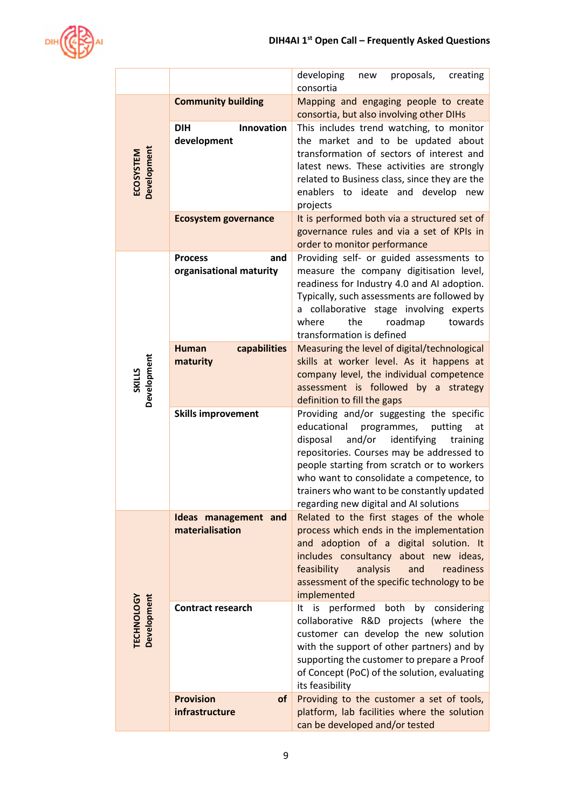

|                                  |                                                  | developing<br>proposals,<br>creating<br>new<br>consortia                                                                                                                                                                                                                                                                                                                |
|----------------------------------|--------------------------------------------------|-------------------------------------------------------------------------------------------------------------------------------------------------------------------------------------------------------------------------------------------------------------------------------------------------------------------------------------------------------------------------|
| <b>Development</b><br>ECOSYSTEM  | <b>Community building</b>                        | Mapping and engaging people to create<br>consortia, but also involving other DIHs                                                                                                                                                                                                                                                                                       |
|                                  | <b>DIH</b><br><b>Innovation</b><br>development   | This includes trend watching, to monitor<br>the market and to be updated about<br>transformation of sectors of interest and<br>latest news. These activities are strongly<br>related to Business class, since they are the<br>enablers to ideate and develop new<br>projects                                                                                            |
|                                  | <b>Ecosystem governance</b>                      | It is performed both via a structured set of<br>governance rules and via a set of KPIs in<br>order to monitor performance                                                                                                                                                                                                                                               |
| SKILLS<br>Development            | <b>Process</b><br>and<br>organisational maturity | Providing self- or guided assessments to<br>measure the company digitisation level,<br>readiness for Industry 4.0 and AI adoption.<br>Typically, such assessments are followed by<br>collaborative stage involving experts<br>a<br>where<br>the<br>roadmap<br>towards<br>transformation is defined                                                                      |
|                                  | capabilities<br><b>Human</b><br>maturity         | Measuring the level of digital/technological<br>skills at worker level. As it happens at<br>company level, the individual competence<br>assessment is followed by a strategy<br>definition to fill the gaps                                                                                                                                                             |
|                                  | <b>Skills improvement</b>                        | Providing and/or suggesting the specific<br>educational<br>programmes,<br>putting<br>at<br>disposal<br>and/or<br>identifying<br>training<br>repositories. Courses may be addressed to<br>people starting from scratch or to workers<br>who want to consolidate a competence, to<br>trainers who want to be constantly updated<br>regarding new digital and AI solutions |
| Development<br><b>TECHNOLOGY</b> | Ideas management and<br>materialisation          | Related to the first stages of the whole<br>process which ends in the implementation<br>and adoption of a digital solution. It<br>includes consultancy about new ideas,<br>feasibility<br>analysis<br>readiness<br>and<br>assessment of the specific technology to be<br>implemented                                                                                    |
|                                  | <b>Contract research</b>                         | is performed both by considering<br>It<br>collaborative R&D projects (where the<br>customer can develop the new solution<br>with the support of other partners) and by<br>supporting the customer to prepare a Proof<br>of Concept (PoC) of the solution, evaluating<br>its feasibility                                                                                 |
|                                  | <b>Provision</b><br>of<br>infrastructure         | Providing to the customer a set of tools,<br>platform, lab facilities where the solution<br>can be developed and/or tested                                                                                                                                                                                                                                              |